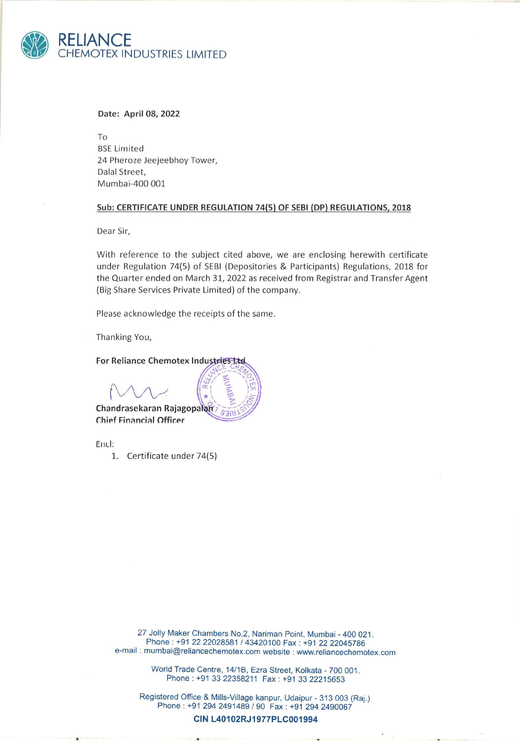

## Date: April 08, 2022

To BSE Limited 24 Pheroze Jeejeebhoy Tower, Dalal Street, Mumbai-400 001

## Sub: CERTIFICATE UNDER REGULATION 74(5) OF SEBI (DP) REGULATIONS, 2018

Dear Sir,

With reference to the subject cited above, we are enclosing herewith certificate under Regulation 74(5) of SEBI (Depositories & Participants) Regulations, 2018 for the Quarter ended on March 31, 2022 as received from Registrar and Transfer Agent (Big Share Services Private Limited) of the company.

Please acknowledge the receipts of the same.

ARELIS

 $S<sub>7</sub>$ 

Thanking You,

## For Reliance Chemotex Industries Ltd

M<br>M

Chandrasekaran Rajagopal Chief Financial Officer

Enicl:

1. Certificate under 74(5)

<sup>27</sup>Jolly Maker Chambers No.2, Nariman Point, Mumbai - 400 021. Phone : +91 22 22028581 / 43420100 Fax : +91 22 22045786 e-mail : mumbai@reliancechemotex.com website : www.reliancechemotex.com

World Trade Centre, 14/1B, Ezra Street, Kolkata - 700 001. Phone : +91 33 22358211 Fax : +91 33 22215653

Registered Office & Mills-Village kanpur, Udaipur - 313 003 (Raj.)<br>
Phone : +91 294 2491489 / 90 Fax : +91 294 2490067<br> **CIN L40102RJ1977PLC001994** Phone : +91 294 2491489 / 90 Fax : +91 294 2490067

CIN L40102RJ1977PLC001994